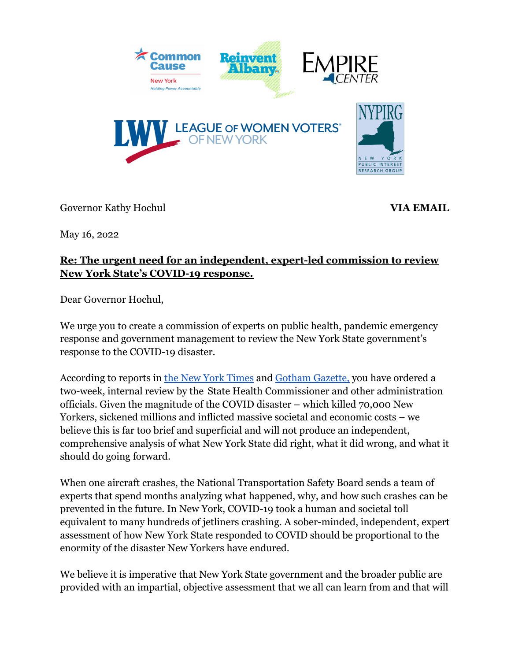

Governor Kathy Hochul **VIA EMAIL** 

May 16, 2o22

## **Re: The urgent need for an independent, expert-led commission to review New York State's COVID-19 response.**

Dear Governor Hochul,

We urge you to create a commission of experts on public health, pandemic emergency response and government management to review the New York State government's response to the COVID-19 disaster.

According to reports in [the New York Times](https://www.nytimes.com/2022/04/15/opinion/kathy-hochul-cuomo-scandal-glass-cliff.html) and Gotham [Gazette,](https://www.gothamgazette.com/state/11257-hochul-covid-review-cuomo-public-health) you have ordered a two-week, internal review by the State Health Commissioner and other administration officials. Given the magnitude of the COVID disaster – which killed 70,000 New Yorkers, sickened millions and inflicted massive societal and economic costs – we believe this is far too brief and superficial and will not produce an independent, comprehensive analysis of what New York State did right, what it did wrong, and what it should do going forward.

When one aircraft crashes, the National Transportation Safety Board sends a team of experts that spend months analyzing what happened, why, and how such crashes can be prevented in the future. In New York, COVID-19 took a human and societal toll equivalent to many hundreds of jetliners crashing. A sober-minded, independent, expert assessment of how New York State responded to COVID should be proportional to the enormity of the disaster New Yorkers have endured.

We believe it is imperative that New York State government and the broader public are provided with an impartial, objective assessment that we all can learn from and that will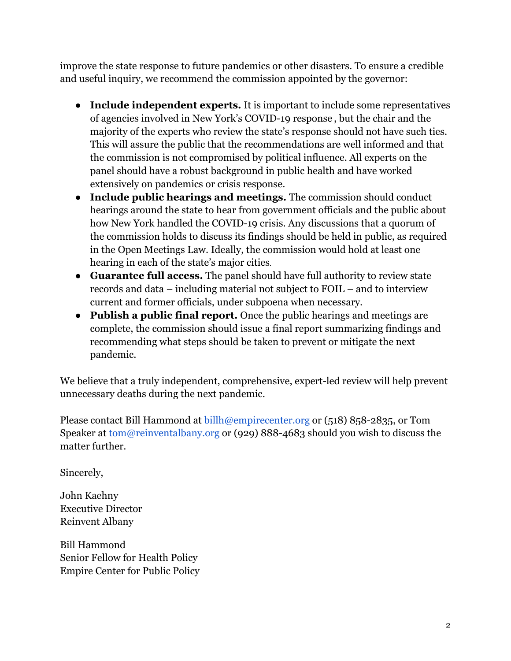improve the state response to future pandemics or other disasters. To ensure a credible and useful inquiry, we recommend the commission appointed by the governor:

- **Include independent experts.** It is important to include some representatives of agencies involved in New York's COVID-19 response , but the chair and the majority of the experts who review the state's response should not have such ties. This will assure the public that the recommendations are well informed and that the commission is not compromised by political influence. All experts on the panel should have a robust background in public health and have worked extensively on pandemics or crisis response.
- **Include public hearings and meetings.** The commission should conduct hearings around the state to hear from government officials and the public about how New York handled the COVID-19 crisis. Any discussions that a quorum of the commission holds to discuss its findings should be held in public, as required in the Open Meetings Law. Ideally, the commission would hold at least one hearing in each of the state's major cities.
- **Guarantee full access.** The panel should have full authority to review state records and data – including material not subject to FOIL – and to interview current and former officials, under subpoena when necessary.
- **Publish a public final report.** Once the public hearings and meetings are complete, the commission should issue a final report summarizing findings and recommending what steps should be taken to prevent or mitigate the next pandemic.

We believe that a truly independent, comprehensive, expert-led review will help prevent unnecessary deaths during the next pandemic.

Please contact Bill Hammond at billh@empirecenter.org or (518) 858-2835, or Tom Speaker at tom@reinventalbany.org or (929) 888-4683 should you wish to discuss the matter further.

Sincerely,

John Kaehny Executive Director Reinvent Albany

Bill Hammond Senior Fellow for Health Policy Empire Center for Public Policy